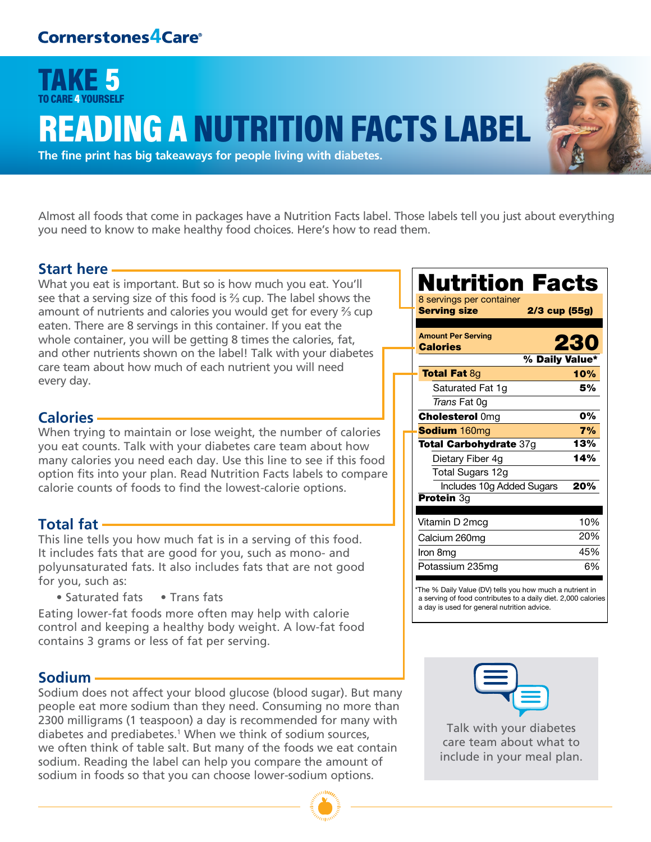## TAKE 5 TO CARE 4 YOURSELF **EADING A NUTRITION FACTS LABEL**



**The fine print has big takeaways for people living with diabetes.**

Almost all foods that come in packages have a Nutrition Facts label. Those labels tell you just about everything you need to know to make healthy food choices. Here's how to read them.

#### **Start here**

What you eat is important. But so is how much you eat. You'll see that a serving size of this food is ⅔ cup. The label shows the amount of nutrients and calories you would get for every ⅔ cup eaten. There are 8 servings in this container. If you eat the whole container, you will be getting 8 times the calories, fat, and other nutrients shown on the label! Talk with your diabetes care team about how much of each nutrient you will need every day.

#### **Calories**

When trying to maintain or lose weight, the number of calories you eat counts. Talk with your diabetes care team about how many calories you need each day. Use this line to see if this food option fits into your plan. Read Nutrition Facts labels to compare calorie counts of foods to find the lowest-calorie options.

#### **Total fat**

This line tells you how much fat is in a serving of this food. It includes fats that are good for you, such as mono- and polyunsaturated fats. It also includes fats that are not good for you, such as:

• Saturated fats • Trans fats

Eating lower-fat foods more often may help with calorie control and keeping a healthy body weight. A low-fat food contains 3 grams or less of fat per serving.

#### **Sodium**

Sodium does not affect your blood glucose (blood sugar). But many people eat more sodium than they need. Consuming no more than 2300 milligrams (1 teaspoon) a day is recommended for many with diabetes and prediabetes.<sup>1</sup> When we think of sodium sources, we often think of table salt. But many of the foods we eat contain sodium. Reading the label can help you compare the amount of sodium in foods so that you can choose lower-sodium options.



| Nutrition Facts                              |                |
|----------------------------------------------|----------------|
| 8 servings per container                     |                |
| <b>Serving size</b>                          | 2/3 cup (55g)  |
| <b>Amount Per Serving</b><br><b>Calories</b> | 230            |
|                                              | % Daily Value* |
| <b>Total Fat 8g</b>                          | 10%            |
| Saturated Fat 1g                             | 5%             |
| Trans Fat 0q                                 |                |
| <b>Cholesterol Omg</b>                       | 0%             |
| Sodium 160mg                                 | 7%             |
| <b>Total Carbohydrate 37g</b>                | 13%            |
| Dietary Fiber 4g                             | 14%            |
| Total Sugars 12g                             |                |
| Includes 10g Added Sugars                    | 20%            |
| <b>Protein</b> 3g                            |                |
|                                              |                |
| Vitamin D 2mcg                               | 10%            |
| Calcium 260mg                                | 20%            |
| Iron 8mg                                     | 45%            |
| Potassium 235mg                              | 6%             |

\*The % Daily Value (DV) tells you how much a nutrient in a serving of food contributes to a daily diet. 2,000 calories a day is used for general nutrition advice.



Talk with your diabetes care team about what to include in your meal plan.